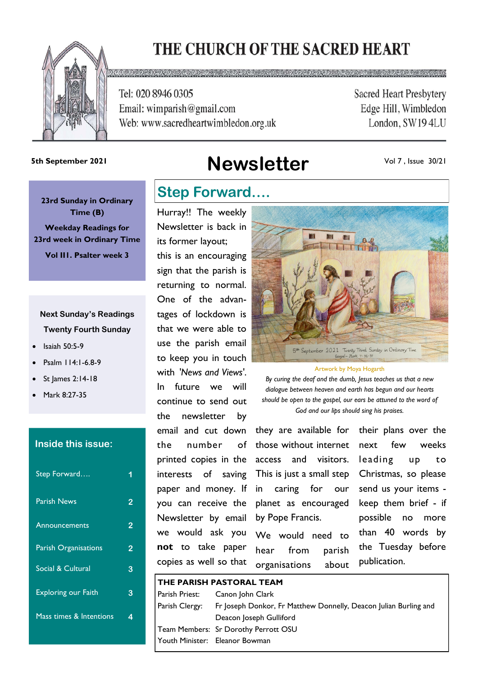# THE CHURCH OF THE SACRED HEART



Tel: 020 8946 0305 Email: wimparish@gmail.com Web: www.sacredheartwimbledon.org.uk **Sacred Heart Presbytery** Edge Hill, Wimbledon London, SW194LU

# **Newsletter 5th September 2021**

Vol 7 , Issue 30/21

**23rd Sunday in Ordinary Time (B) Weekday Readings for 23rd week in Ordinary Time Vol II1. Psalter week 3**

### **Next Sunday's Readings Twenty Fourth Sunday**

- Isaiah 50:5-9
- Psalm 114:1-6.8-9
- St James 2:14-18
- Mark 8:27-35

### **Inside this issue:**

| Step Forward               |   |
|----------------------------|---|
| <b>Parish News</b>         | 2 |
| <b>Announcements</b>       | 2 |
| Parish Organisations       | 2 |
| Social & Cultural          | 3 |
| <b>Exploring our Faith</b> | 3 |
| Mass times & Intentions    |   |
|                            |   |

### **Step Forward….**

Hurray!! The weekly Newsletter is back in its former layout; this is an encouraging sign that the parish is returning to normal. One of the advantages of lockdown is that we were able to use the parish email to keep you in touch with *'News and Views'*. In future we will continue to send out the newsletter by email and cut down the number of printed copies in the interests of saving paper and money. If you can receive the Newsletter by email we would ask you **not** to take paper copies as well so that



#### Artwork by Moya Hogarth

*By curing the deaf and the dumb, Jesus teaches us that a new dialogue between heaven and earth has begun and our hearts should be open to the gospel, our ears be attuned to the word of God and our lips should sing his praises.*

they are available for those without internet access and visitors. This is just a small step Christmas, so please in caring for our planet as encouraged by Pope Francis.

We would need to hear from parish organisations about

their plans over the next few weeks leading up to send us your items keep them brief - if possible no more than 40 words by the Tuesday before publication.

|                | THE PARISH PASTORAL TEAM |                                                                  |  |
|----------------|--------------------------|------------------------------------------------------------------|--|
|                | Parish Priest:           | Canon John Clark                                                 |  |
| Parish Clergy: |                          | Fr Joseph Donkor, Fr Matthew Donnelly, Deacon Julian Burling and |  |
|                |                          | Deacon Joseph Gulliford                                          |  |
|                |                          | Team Members: Sr Dorothy Perrott OSU                             |  |
|                |                          | Youth Minister: Eleanor Bowman                                   |  |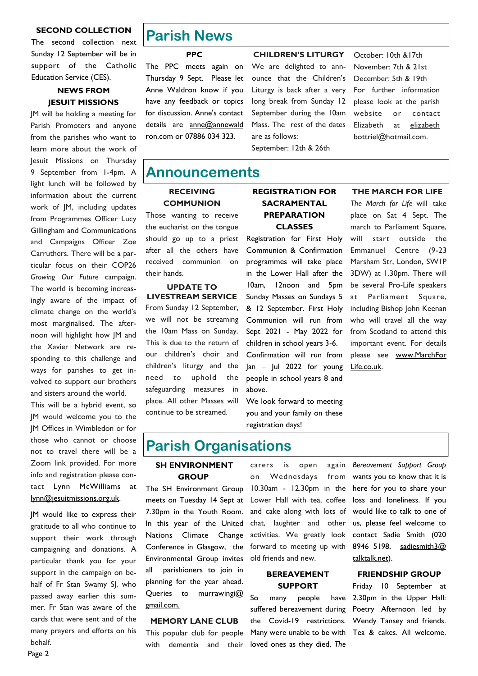### **SECOND COLLECTION**

The second collection next Sunday 12 September will be in support of the Catholic Education Service (CES).

### **NEWS FROM JESUIT MISSIONS**

JM will be holding a meeting for Parish Promoters and anyone from the parishes who want to learn more about the work of Jesuit Missions on Thursday 9 September from 1-4pm. A light lunch will be followed by information about the current work of JM, including updates from Programmes Officer Lucy Gillingham and Communications and Campaigns Officer Zoe Carruthers. There will be a particular focus on their COP26 *Growing Our Future* campaign. The world is becoming increasingly aware of the impact of climate change on the world's most marginalised. The afternoon will highlight how JM and the Xavier Network are responding to this challenge and ways for parishes to get involved to support our brothers and sisters around the world.

This will be a hybrid event, so JM would welcome you to the JM Offices in Wimbledon or for those who cannot or choose not to travel there will be a Zoom link provided. For more info and registration please contact Lynn McWilliams at lynn@jesuitmissions.org.uk.

JM would like to express their gratitude to all who continue to support their work through campaigning and donations. A particular thank you for your support in the campaign on behalf of Fr Stan Swamy SJ, who passed away earlier this summer. Fr Stan was aware of the cards that were sent and of the many prayers and efforts on his behalf.

### **Parish News**

**PPC**

The PPC meets again on Thursday 9 Sept. Please let Anne Waldron know if you have any feedback or topics for discussion. Anne's contact details are anne@annewald [ron.com](mailto:anne@annewaldron.co) or 07886 034 323.

**CHILDREN'S LITURGY** We are delighted to announce that the Children's Liturgy is back after a very long break from Sunday 12 September during the 10am Mass. The rest of the dates are as follows: September: 12th & 26th

### October: 10th &17th November: 7th & 21st December: 5th & 19th For further information please look at the parish website or contact Elizabeth at elizabeth bottriel@hotmail.com.

### **Announcements**

### **RECEIVING COMMUNION**

Those wanting to receive the eucharist on the tongue should go up to a priest after all the others have received communion on their hands.

### **UPDATE TO LIVESTREAM SERVICE**

From Sunday 12 September, we will not be streaming the 10am Mass on Sunday. This is due to the return of our children's choir and children's liturgy and the need to uphold the safeguarding measures in place. All other Masses will continue to be streamed.

### **REGISTRATION FOR SACRAMENTAL PREPARATION CLASSES**

Registration for First Holy Communion & Confirmation programmes will take place in the Lower Hall after the 10am, 12noon and 5pm Sunday Masses on Sundays 5 & 12 September. First Holy Communion will run from Sept 2021 - May 2022 for children in school years 3-6. Confirmation will run from  $lan - Iul$  2022 for young people in school years 8 and above.

We look forward to meeting you and your family on these registration days!

### **THE MARCH FOR LIFE**

*The March for Life* will take place on Sat 4 Sept. The march to Parliament Square, will start outside the Emmanuel Centre (9-23 Marsham Str, London, SW1P 3DW) at 1.30pm. There will be several Pro-Life speakers at Parliament Square, including Bishop John Keenan who will travel all the way from Scotland to attend this important event. For details please see [www.MarchFor](http://www.MarchForLife.co.uk)  [Life.co.uk.](http://www.MarchForLife.co.uk)

## **Parish Organisations**

### **SH ENVIRONMENT GROUP**

The SH Environment Group meets on Tuesday 14 Sept at 7.30pm in the Youth Room. In this year of the United Nations Climate Change Conference in Glasgow, the Environmental Group invites all parishioners to join in planning for the year ahead. Queries to murrawingi@ gmail.com.

### **MEMORY LANE CLUB**

This popular club for people with dementia and their carers is open again on Wednesdays 10.30am - 12.30pm in the here for you to share your Lower Hall with tea, coffee and cake along with lots of chat, laughter and other activities. We greatly look forward to meeting up with old friends and new.

### **BEREAVEMENT SUPPORT**

So many people suffered bereavement during Poetry Afternoon led by the Covid-19 restrictions. Wendy Tansey and friends. Many were unable to be with Tea & cakes. All welcome. loved ones as they died. *The* 

*Bereavement Support Group*  from wants you to know that it is loss and loneliness. If you would like to talk to one of us, please feel welcome to contact Sadie Smith (020 8946 5198, sadiesmith3@ [talktalk.net\)](mailto:sadiesmith3@talktalk.net).

### **FRIENDSHIP GROUP**

Friday 10 September at have 2.30pm in the Upper Hall: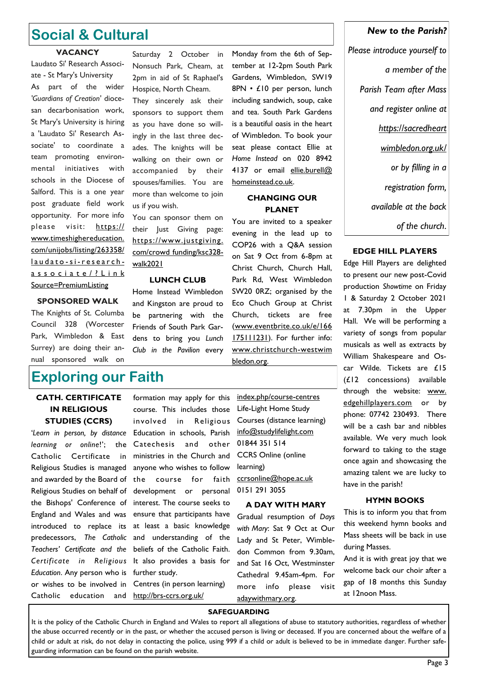## **Social & Cultural**

### **VACANCY**

Laudato Si' Research Associate - St Mary's University As part of the wider *'Guardians of Creation'* diocesan decarbonisation work, St Mary's University is hiring a 'Laudato Si' Research Associate' to coordinate a team promoting environmental initiatives with schools in the Diocese of Salford. This is a one year post graduate field work opportunity. For more info please visit: [https://](https://www.timeshighereducation.com/unijobs/listing/263358/laudato-si-research-associate/?LinkSource=PremiumListing) [www.timeshighereducation.](https://www.timeshighereducation.com/unijobs/listing/263358/laudato-si-research-associate/?LinkSource=PremiumListing) [com/unijobs/listing/263358/](https://www.timeshighereducation.com/unijobs/listing/263358/laudato-si-research-associate/?LinkSource=PremiumListing) l a u d a t o - s i - r e s e a r c h associate/? Link [Source=PremiumListing](https://www.timeshighereducation.com/unijobs/listing/263358/laudato-si-research-associate/?LinkSource=PremiumListing)

They sincerely ask their sponsors to support them as you have done so willingly in the last three decades. The knights will be

Saturday 2 October in Nonsuch Park, Cheam, at 2pm in aid of St Raphael's Hospice, North Cheam.

walking on their own or accompanied by their spouses/families. You are more than welcome to join us if you wish.

You can sponsor them on their Just Giving page: [https://www.justgiving.](https://www.justgiving.com/crowdfunding/ksc328-walk2021)  [com/crowd funding/ksc328](https://www.justgiving.com/crowdfunding/ksc328-walk2021) [walk2021](https://www.justgiving.com/crowdfunding/ksc328-walk2021)

### **LUNCH CLUB**

Home Instead Wimbledon and Kingston are proud to be partnering with the Friends of South Park Gardens to bring you *Lunch Club in the Pavilion* every

### Monday from the 6th of September at 12-2pm South Park Gardens, Wimbledon, SW19 8PN • £10 per person, lunch including sandwich, soup, cake and tea. South Park Gardens is a beautiful oasis in the heart of Wimbledon. To book your seat please contact Ellie at *Home Instead* on 020 8942 4137 or email ellie.burell@ homeinstead.co.uk.

### **CHANGING OUR PLANET**

You are invited to a speaker evening in the lead up to COP26 with a Q&A session on Sat 9 Oct from 6-8pm at Christ Church, Church Hall, Park Rd, West Wimbledon SW20 0RZ; organised by the Eco Chuch Group at Christ Church, tickets are free (www.eventbrite.co.uk/e/166 175111231). For further info: www.christchurch-westwim bledon.org.

*a member of the Parish Team after Mass and register online at https://sacredheart wimbledon.org.uk/ or by filling in a registration form, available at the back* 

*New to the Parish?* 

*Please introduce yourself to* 

**EDGE HILL PLAYERS** 

*of the church*.

Edge Hill Players are delighted to present our new post-Covid production *Showtime* on Friday 1 & Saturday 2 October 2021 at 7.30pm in the Upper Hall. We will be performing a variety of songs from popular musicals as well as extracts by William Shakespeare and Oscar Wilde. Tickets are £15 (£12 concessions) available through the website: www. [edgehillplayers.com](http://www.edgehillplayers.com/) or by phone: 07742 230493. There will be a cash bar and nibbles available. We very much look forward to taking to the stage once again and showcasing the amazing talent we are lucky to have in the parish!

### **HYMN BOOKS**

This is to inform you that from this weekend hymn books and Mass sheets will be back in use during Masses.

And it is with great joy that we welcome back our choir after a gap of 18 months this Sunday at 12noon Mass.

### Council 328 (Worcester Park, Wimbledon & East

**SPONSORED WALK**  The Knights of St. Columba

Surrey) are doing their annual sponsored walk on

## **Exploring our Faith**

### **CATH. CERTIFICATE IN RELIGIOUS STUDIES (CCRS)**

'*Learn in person, by distance learning or online*!'; the Catholic Certificate in Religious Studies is managed and awarded by the Board of Religious Studies on behalf of the Bishops' Conference of England and Wales and was introduced to replace its predecessors, *The Catholic Teachers' Certificate and the Certificate in Religious Education*. Any person who is or wishes to be involved in Catholic education and

formation may apply for this course. This includes those involved in Religious Education in schools, Parish Catechesis and other ministries in the Church and anyone who wishes to follow the course for faith development or personal interest. The course seeks to ensure that participants have at least a basic knowledge and understanding of the beliefs of the Catholic Faith. It also provides a basis for further study. Centres (in person learning) [http://brs-ccrs.org.uk/](http://brs-ccrs.org.uk/index.php/course-centres)

[index.php/course-centres](http://brs-ccrs.org.uk/index.php/course-centres) Life-Light Home Study Courses (distance learning) [info@studylifelight.com](mailto:info@studylifelight.com) 01844 351 514 CCRS Online (online learning) [ccrsonline@hope.ac.uk](mailto:ccrsonline@hope.ac.uk) 0151 291 3055

#### **A DAY WITH MARY**

Gradual resumption of *Days with Mary*: Sat 9 Oct at Our Lady and St Peter, Wimbledon Common from 9.30am, and Sat 16 Oct, Westminster Cathedral 9.45am-4pm. For more info please visit adaywithmary.org.

#### **SAFEGUARDING**

It is the policy of the Catholic Church in England and Wales to report all allegations of abuse to statutory authorities, regardless of whether the abuse occurred recently or in the past, or whether the accused person is living or deceased. If you are concerned about the welfare of a child or adult at risk, do not delay in contacting the police, using 999 if a child or adult is believed to be in immediate danger. Further safeguarding information can be found on the parish website.